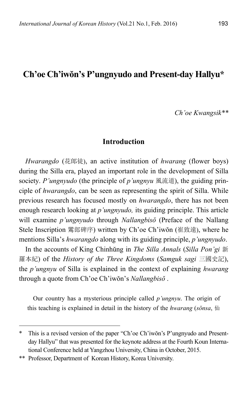# **Ch'oe Ch'iwŏn's P'ungnyudo and Present-day Hallyu\***

*Ch'oe Kwangsik\*\** 

## **Introduction**

*Hwarangdo* (花郞徒), an active institution of *hwarang* (flower boys) during the Silla era, played an important role in the development of Silla society. *P'ungnyudo* (the principle of *p'ungnyu* 風流道), the guiding principle of *hwarangdo*, can be seen as representing the spirit of Silla. While previous research has focused mostly on *hwarangdo*, there has not been enough research looking at *p'ungnyudo,* its guiding principle. This article will examine *p'ungnyudo* through *Nallangbisŏ* (Preface of the Nallang Stele Inscription 鸞郎碑序) written by Ch'oe Ch'iwŏn (崔致遠), where he mentions Silla's *hwarangdo* along with its guiding principle, *p'ungnyudo*.

In the accounts of King Chinhŭng in *The Silla Annals* (*Silla Pon'gi* 新 羅本紀) of the *History of the Three Kingdoms* (*Samguk sagi* 三國史記), the *p'ungnyu* of Silla is explained in the context of explaining *hwarang* through a quote from Ch'oe Ch'iwŏn's *Nallangbisŏ* .

Our country has a mysterious principle called *p'ungnyu*. The origin of this teaching is explained in detail in the history of the *hwarang* (*sŏnsa*, 仙

This is a revised version of the paper "Ch'oe Ch'iwŏn's P'ungnyudo and Presentday Hallyu" that was presented for the keynote address at the Fourth Koun International Conference held at Yangzhou University, China in October, 2015.

<sup>\*\*</sup> Professor, Department of Korean History, Korea University.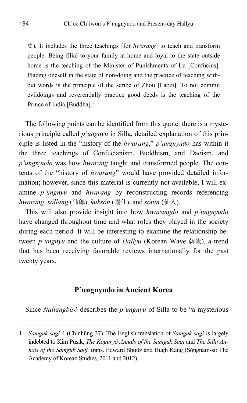史). It includes the three teachings [for *hwarang*] to teach and transform people. Being filial to your family at home and loyal to the state outside home is the teaching of the Minister of Punishments of Lu [Confucius]. Placing oneself in the state of non-doing and the practice of teaching without words is the principle of the scribe of Zhou [Laozi]. To not commit evildoings and reverentially practice good deeds is the teaching of the Prince of India [Buddha].<sup>1</sup>

The following points can be identified from this quote: there is a mysterious principle called *p'ungnyu* in Silla, detailed explanation of this principle is listed in the "history of the *hwarang*," *p'ungnyudo* has within it the three teachings of Confucianism, Buddhism, and Daoism, and *p'ungnyudo* was how *hwarang* taught and transformed people. The contents of the "history of *hwarang*" would have provided detailed information; however, since this material is currently not available, I will examine *p'ungnyu* and *hwarang* by reconstructing records referencing *hwarang*, *sŏllang* (仙郞), *kuksŏn* (國仙), and *sŏnin* (仙人).

This will also provide insight into how *hwarangdo* and *p'ungnyudo* have changed throughout time and what roles they played in the society during each period. It will be interesting to examine the relationship between *p'ungnyu* and the culture of *Hallyu* (Korean Wave 韓流), a trend that has been receiving favorable reviews internationally for the past twenty years.

## **P'ungnyudo in Ancient Korea**

Since *Nallangbisŏ* describes the *p'ungnyu* of Silla to be "a mysterious

<sup>1</sup> *Samguk sagi* 4 (Chinhŭng 37). The English translation of *Samguk sagi* is largely indebted to Kim Pusik, *The Koguryŏ Annals of the Samguk Sagi* and *The Silla Annals of the Samguk Sagi,* trans. Edward Shultz and Hugh Kang (Sŏngnam-si: The Academy of Korean Studies, 2011 and 2012).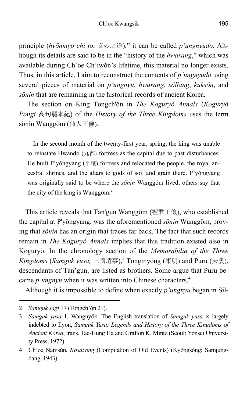principle (*hyŏnmyo chi to*, 玄妙之道)," it can be called *p'ungnyudo*. Although its details are said to be in the "history of the *hwarang*," which was available during Ch'oe Ch'iwŏn's lifetime, this material no longer exists. Thus, in this article, I aim to reconstruct the contents of *p'ungnyudo* using several pieces of material on *p'ungnyu*, *hwarang*, *sŏllang*, *kuksŏn*, and *sŏnin* that are remaining in the historical records of ancient Korea.

 The section on King Tongch'ŏn in *The Koguryŏ Annals* (*Koguryŏ Pongi* 高句麗本紀) of the *History of the Three Kingdoms* uses the term sŏnin Wanggŏm (仙人王儉).

In the second month of the twenty-first year, spring, the king was unable to reinstate Hwando (丸都) fortress as the capital due to past disturbances. He built P'yŏngyang (平壤) fortress and relocated the people, the royal ancestral shrines, and the altars to gods of soil and grain there. P'yŏngyang was originally said to be where the *sŏnin* Wanggŏm lived; others say that the city of the king is Wanggŏm. $<sup>2</sup>$ </sup>

This article reveals that Tan'gun Wanggŏm (檀君王儉), who established the capital at P'yŏngyang, was the aforementioned *sŏnin* Wanggŏm, proving that *sŏnin* has an origin that traces far back. The fact that such records remain in *The Koguryŏ Annals* implies that this tradition existed also in Koguryŏ. In the chronology section of the *Memorabilia of the Three Kingdoms* (*Samguk yusa,* 三國遺事),3 Tongmyŏng (東明) and Puru (夫婁), descendants of Tan'gun, are listed as brothers. Some argue that Puru became *p'ungnyu* when it was written into Chinese characters.<sup>4</sup>

Although it is impossible to define when exactly *p'ungnyu* began in Sil-

<sup>2</sup> *Samguk sagi* 17 (Tongch'ŏn 21).

<sup>3</sup> *Samguk yusa* 1, Wangnyŏk. The English translation of *Samguk yusa* is largely indebted to Ilyon, *Samguk Yusa: Legends and History of the Three Kingdoms of Ancient Korea*, trans. Tae-Hung Ha and Grafton K. Mintz (Seoul: Yonsei University Press, 1972).

<sup>4</sup> Ch'oe Namsŭn, *Kosat'ong* (Compilation of Old Events) (Kyŏngsŏng: Samjungdang, 1943).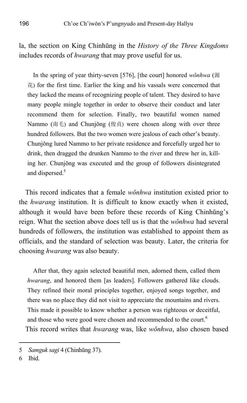la, the section on King Chinhŭng in the *History of the Three Kingdoms* includes records of *hwarang* that may prove useful for us.

In the spring of year thirty-seven [576], [the court] honored *wŏnhwa* (源  $#$ ) for the first time. Earlier the king and his vassals were concerned that they lacked the means of recognizing people of talent. They desired to have many people mingle together in order to observe their conduct and later recommend them for selection. Finally, two beautiful women named Nammo (南毛) and Chunjŏng (俊貞) were chosen along with over three hundred followers. But the two women were jealous of each other's beauty. Chunjŏng lured Nammo to her private residence and forcefully urged her to drink, then dragged the drunken Nammo to the river and threw her in, killing her. Chunjŏng was executed and the group of followers disintegrated and dispersed.<sup>5</sup>

This record indicates that a female *wŏnhwa* institution existed prior to the *hwarang* institution. It is difficult to know exactly when it existed, although it would have been before these records of King Chinhŭng's reign. What the section above does tell us is that the *wŏnhwa* had several hundreds of followers, the institution was established to appoint them as officials, and the standard of selection was beauty. Later, the criteria for choosing *hwarang* was also beauty.

After that, they again selected beautiful men, adorned them, called them *hwarang*, and honored them [as leaders]. Followers gathered like clouds. They refined their moral principles together, enjoyed songs together, and there was no place they did not visit to appreciate the mountains and rivers. This made it possible to know whether a person was righteous or deceitful, and those who were good were chosen and recommended to the court.<sup>6</sup> This record writes that *hwarang* was, like *wŏnhwa*, also chosen based

<sup>5</sup> *Samguk sagi* 4 (Chinhŭng 37).

<sup>6</sup> Ibid.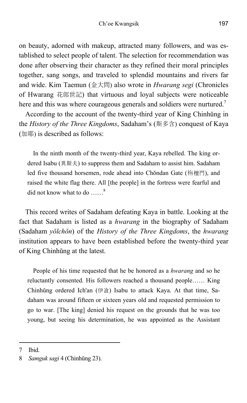on beauty, adorned with makeup, attracted many followers, and was established to select people of talent. The selection for recommendation was done after observing their character as they refined their moral principles together, sang songs, and traveled to splendid mountains and rivers far and wide. Kim Taemun (金大問) also wrote in *Hwarang segi* (Chronicles of Hwarang 花郎世記) that virtuous and loyal subjects were noticeable here and this was where courageous generals and soldiers were nurtured.<sup>7</sup>

According to the account of the twenty-third year of King Chinhŭng in the *History of the Three Kingdoms*, Sadaham's (斯多含) conquest of Kaya (加耶) is described as follows:

In the ninth month of the twenty-third year, Kaya rebelled. The king ordered Isabu (異斯夫) to suppress them and Sadaham to assist him. Sadaham led five thousand horsemen, rode ahead into Chŏndan Gate (栴檀門), and raised the white flag there. All [the people] in the fortress were fearful and did not know what to do ......<sup>8</sup>

This record writes of Sadaham defeating Kaya in battle. Looking at the fact that Sadaham is listed as a *hwarang* in the biography of Sadaham (Sadaham *yŏlchŏn*) of the *History of the Three Kingdoms*, the *hwarang* institution appears to have been established before the twenty-third year of King Chinhŭng at the latest.

People of his time requested that he be honored as a *hwarang* and so he reluctantly consented. His followers reached a thousand people…… King Chinhŭng ordered Ich'an (伊飡) Isabu to attack Kaya. At that time, Sadaham was around fifteen or sixteen years old and requested permission to go to war. [The king] denied his request on the grounds that he was too young, but seeing his determination, he was appointed as the Assistant

<sup>7</sup> Ibid.

<sup>8</sup> *Samguk sagi* 4 (Chinhŭng 23).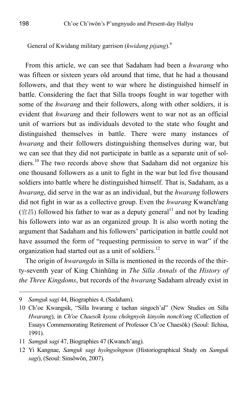General of Kwidang military garrison (*kwidang pijang*).9

From this article, we can see that Sadaham had been a *hwarang* who was fifteen or sixteen years old around that time, that he had a thousand followers, and that they went to war where he distinguished himself in battle. Considering the fact that Silla troops fought in war together with some of the *hwarang* and their followers, along with other soldiers, it is evident that *hwarang* and their followers went to war not as an official unit of warriors but as individuals devoted to the state who fought and distinguished themselves in battle. There were many instances of *hwarang* and their followers distinguishing themselves during war, but we can see that they did not participate in battle as a separate unit of soldiers.<sup>10</sup> The two records above show that Sadaham did not organize his one thousand followers as a unit to fight in the war but led five thousand soldiers into battle where he distinguished himself. That is, Sadaham, as a *hwarang*, did serve in the war as an individual, but the *hwarang* followers did not fight in war as a collective group. Even the *hwarang* Kwanch'ang (官昌) followed his father to war as a deputy general<sup>11</sup> and not by leading his followers into war as an organized group. It is also worth noting the argument that Sadaham and his followers' participation in battle could not have assumed the form of "requesting permission to serve in war" if the organization had started out as a unit of soldiers.<sup>12</sup>

The origin of *hwarangdo* in Silla is mentioned in the records of the thirty-seventh year of King Chinhŭng in *The Silla Annals* of the *History of the Three Kingdoms*, but records of the *hwarang* Sadaham already exist in

<sup>9</sup> *Samguk sagi* 44, Biographies 4, (Sadaham).

<sup>10</sup> Ch'oe Kwangsik, "Silla hwarang e taehan singoch'al" (New Studies on Silla *Hwarang*), in *Ch'oe Chaeso*̆*k kyosu cho*̆*ngnyo*̆*n kinyo*̆*m nonch'ong* (Collection of Essays Commemorating Retirement of Professor Ch'oe Chaesŏk) (Seoul: Ilchisa, 1991).

<sup>11</sup> *Samguk sagi* 47, Biographies 47 (Kwanch'ang).

<sup>12</sup> Yi Kangnae, *Samguk sagi hyo*̆*ngso*̆*ngnon* (Historiographical Study on *Samguk sagi*), (Seoul: Sinsŏwŏn, 2007).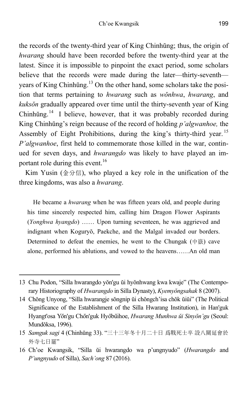the records of the twenty-third year of King Chinhŭng; thus, the origin of *hwarang* should have been recorded before the twenty-third year at the latest. Since it is impossible to pinpoint the exact period, some scholars believe that the records were made during the later—thirty-seventh years of King Chinhŭng.<sup>13</sup> On the other hand, some scholars take the position that terms pertaining to *hwarang* such as *wŏnhwa*, *hwarang*, and *kuksŏn* gradually appeared over time until the thirty-seventh year of King Chinhŭng.<sup>14</sup> I believe, however, that it was probably recorded during King Chinhŭng's reign because of the record of holding *p'algwanhoe,* the Assembly of Eight Prohibitions, during the king's thirty-third year.<sup>15</sup> *P'algwanhoe*, first held to commemorate those killed in the war, continued for seven days, and *hwarangdo* was likely to have played an important role during this event.<sup>16</sup>

Kim Yusin (金分信), who played a key role in the unification of the three kingdoms, was also a *hwarang*.

He became a *hwarang* when he was fifteen years old, and people during his time sincerely respected him, calling him Dragon Flower Aspirants (*Yonghwa hyangdo*) …… Upon turning seventeen, he was aggrieved and indignant when Koguryŏ, Paekche, and the Malgal invaded our borders. Determined to defeat the enemies, he went to the Chungak (中嶽) cave alone, performed his ablutions, and vowed to the heavens……An old man

<sup>13</sup> Chu Podon, "Silla hwarangdo yŏn'gu ŭi hyŏnhwang kwa kwaje" (The Contemporary Historiography of *Hwarangdo* in Silla Dynasty), *Kyemyŏngsahak* 8 (2007).

<sup>14</sup> Chŏng Unyong, "Silla hwarangje sŏngnip ŭi chŏngch'isa chŏk ŭiŭi" (The Political Significance of the Establishment of the Silla Hwarang Institution), in Han'guk Hyangt'osa Yŏn'gu Chŏn'guk Hyŏbŭihoe, *Hwarang Munhwa ŭi Sinyŏn'gu* (Seoul: Mundŏksa, 1996).

<sup>15</sup> *Samguk sagi* 4 (Chinhŭng 33). "三十三年冬十月二十日 爲戰死士卒 設八關延會於 外寺七日罷"

<sup>16</sup> Ch'oe Kwangsik, "Silla ŭi hwarangdo wa p'ungnyudo" (*Hwarangdo* and *P'ungnyudo* of Silla), *Sach'ong* 87 (2016).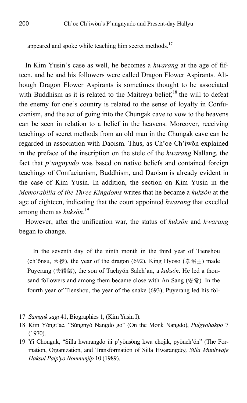appeared and spoke while teaching him secret methods.<sup>17</sup>

In Kim Yusin's case as well, he becomes a *hwarang* at the age of fifteen, and he and his followers were called Dragon Flower Aspirants. Although Dragon Flower Aspirants is sometimes thought to be associated with Buddhism as it is related to the Maitreya belief,<sup>18</sup> the will to defeat the enemy for one's country is related to the sense of loyalty in Confucianism, and the act of going into the Chungak cave to vow to the heavens can be seen in relation to a belief in the heavens. Moreover, receiving teachings of secret methods from an old man in the Chungak cave can be regarded in association with Daoism. Thus, as Ch'oe Ch'iwŏn explained in the preface of the inscription on the stele of the *hwarang* Nallang, the fact that *p'ungnyudo* was based on native beliefs and contained foreign teachings of Confucianism, Buddhism, and Daoism is already evident in the case of Kim Yusin. In addition, the section on Kim Yusin in the *Memorabilia of the Three Kingdoms* writes that he became a *kuksŏn* at the age of eighteen, indicating that the court appointed *hwarang* that excelled among them as *kuksŏn*. 19

However, after the unification war, the status of *kuksŏn* and *hwarang* began to change.

In the seventh day of the ninth month in the third year of Tienshou (ch'ŏnsu, 天授), the year of the dragon (692), King Hyoso (孝昭王) made Puyerang (夫禮郞), the son of Taehyŏn Salch'an, a *kuksŏn*. He led a thousand followers and among them became close with An Sang (安常). In the fourth year of Tienshou, the year of the snake (693), Puyerang led his fol-

<sup>17</sup> *Samguk sagi* 41, Biographies 1, (Kim Yusin I).

<sup>18</sup> Kim Yŏngt'ae, "Sŭngnyŏ Nangdo go" (On the Monk Nangdo), *Pulgyohakpo* 7 (1970).

<sup>19</sup> Yi Chonguk, "Silla hwarangdo ŭi p'yŏnsŏng kwa chojik, pyŏnch'ŏn" (The Formation, Organization, and Transformation of Silla Hwarangdo*), Silla Munhwaje Haksul Palp'yo Nonmunjip* 10 (1989).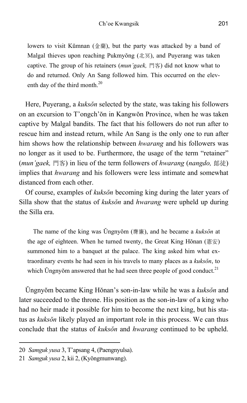lowers to visit Kŭmnan (金蘭), but the party was attacked by a band of Malgal thieves upon reaching Pukmyŏng (北冥), and Puyerang was taken captive. The group of his retainers (*mun'gaek,* 門客) did not know what to do and returned. Only An Sang followed him. This occurred on the eleventh day of the third month.<sup>20</sup>

Here, Puyerang, a *kuksŏn* selected by the state, was taking his followers on an excursion to T'ongch'ŏn in Kangwŏn Province, when he was taken captive by Malgal bandits. The fact that his followers do not run after to rescue him and instead return, while An Sang is the only one to run after him shows how the relationship between *hwarang* and his followers was no longer as it used to be. Furthermore, the usage of the term "retainer" (*mun'gaek,* 門客) in lieu of the term followers of *hwarang* (*nangdo,* 郎徒) implies that *hwarang* and his followers were less intimate and somewhat distanced from each other.

Of course, examples of *kuksŏn* becoming king during the later years of Silla show that the status of *kuksŏn* and *hwarang* were upheld up during the Silla era.

The name of the king was Ŭngnyŏm (膺廉), and he became a *kuksŏn* at the age of eighteen. When he turned twenty, the Great King Hŏnan (憲安) summoned him to a banquet at the palace. The king asked him what extraordinary events he had seen in his travels to many places as a *kuksŏn*, to which Ungnyŏm answered that he had seen three people of good conduct.<sup>21</sup>

Ŭngnyŏm became King Hŏnan's son-in-law while he was a *kuksŏn* and later succeeded to the throne. His position as the son-in-law of a king who had no heir made it possible for him to become the next king, but his status as *kuksŏn* likely played an important role in this process. We can thus conclude that the status of *kuksŏn* and *hwarang* continued to be upheld.

<sup>20</sup> *Samguk yusa* 3, T'apsang 4, (Paengnyulsa).

<sup>21</sup> *Samguk yusa* 2, kii 2, (Kyŏngmunwang).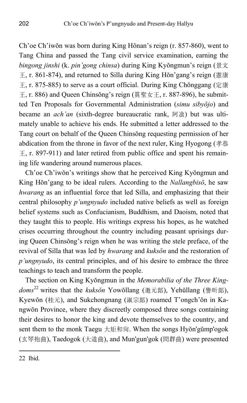Ch'oe Ch'iwŏn was born during King Hŏnan's reign (r. 857-860), went to Tang China and passed the Tang civil service examination, earning the *bingong jinshi* (k. *pin'gong chinsa*) during King Kyŏngmun's reign (景文  $\pm$ , r. 861-874), and returned to Silla during King Hŏn'gang's reign (憲康 王, r. 875-885) to serve as a court official. During King Chŏnggang (定康 王, r. 886) and Queen Chinsŏng's reign (真聖女王, r. 887-896), he submitted Ten Proposals for Governmental Administration (*simu sibyŏjo*) and became an *ach'an* (sixth-degree bureaucratic rank, 阿飡) but was ultimately unable to achieve his ends. He submitted a letter addressed to the Tang court on behalf of the Queen Chinsŏng requesting permission of her abdication from the throne in favor of the next ruler, King Hyogong (孝恭  $\pm$ , r. 897-911) and later retired from public office and spent his remaining life wandering around numerous places.

Ch'oe Ch'iwŏn's writings show that he perceived King Kyŏngmun and King Hŏn'gang to be ideal rulers. According to the *Nallangbisŏ*, he saw *hwarang* as an influential force that led Silla, and emphasizing that their central philosophy *p'ungnyudo* included native beliefs as well as foreign belief systems such as Confucianism, Buddhism, and Daoism, noted that they taught this to people. His writings express his hopes, as he watched crises occurring throughout the country including peasant uprisings during Queen Chinsŏng's reign when he was writing the stele preface, of the revival of Silla that was led by *hwarang* and *kuksŏn* and the restoration of *p'ungnyudo*, its central principles, and of his desire to embrace the three teachings to teach and transform the people.

The section on King Kyŏngmun in the *Memorabilia of the Three Kingdoms*22 writes that the *kuksŏn* Yowŏllang (邀元郞), Yehŭllang (譽昕郞), Kyewŏn (桂元), and Sukchongnang (淑宗郞) roamed T'ongch'ŏn in Kangwŏn Province, where they discreetly composed three songs containing their desires to honor the king and devote themselves to the country, and sent them to the monk Taegu 大矩和尙. When the songs Hyŏn'gŭmp'ogok (玄琴抱曲), Taedogok (大道曲), and Mun'gun'gok (問群曲) were presented

<sup>22</sup> Ibid.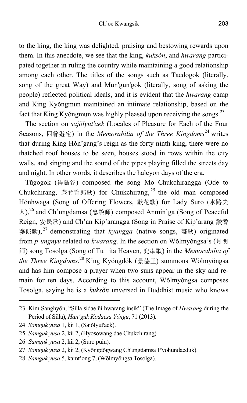to the king, the king was delighted, praising and bestowing rewards upon them. In this anecdote, we see that the king, *kuksŏn*, and *hwarang* participated together in ruling the country while maintaining a good relationship among each other. The titles of the songs such as Taedogok (literally, song of the great Way) and Mun'gun'gok (literally, song of asking the people) reflected political ideals, and it is evident that the *hwarang* camp and King Kyŏngmun maintained an intimate relationship, based on the fact that King Kyŏngmun was highly pleased upon receiving the songs. $^{23}$ 

The section on *sajŏlyut'aek* (Locales of Pleasure for Each of the Four Seasons, 四節遊宅) in the *Memorabilia of the Three Kingdoms*<sup>24</sup> writes that during King Hŏn'gang's reign as the forty-ninth king, there were no thatched roof houses to be seen, houses stood in rows within the city walls, and singing and the sound of the pipes playing filled the streets day and night. In other words, it describes the halcyon days of the era.

Tŭgogok (得烏谷) composed the song Mo Chukchirangga (Ode to Chukchirang, 慕竹旨郞歌) for Chukchirang, <sup>25</sup> the old man composed Hŏnhwaga (Song of Offering Flowers, 獻花歌) for Lady Suro (水路夫  $\lambda$ ),<sup>26</sup> and Ch'ungdamsa (忠談師) composed Anmin'ga (Song of Peaceful Reign, 安民歌) and Ch'an Kip'arangga (Song in Praise of Kip'arang 讚耆 婆郞歌).<sup>27</sup> demonstrating that *hyangga* (native songs, 鄕歌) originated from *p'ungnyu* related to *hwarang*. In the section on Wŏlmyŏngsa's (月明 師) song Tosolga (Song of Tuita Heaven, 兜率歌) in the *Memorabilia of the Three Kingdoms*, 28 King Kyŏngdŏk (景德王) summons Wŏlmyŏngsa and has him compose a prayer when two suns appear in the sky and remain for ten days. According to this account, Wŏlmyŏngsa composes Tosolga, saying he is a *kuksŏn* unversed in Buddhist music who knows

24 *Samguk yusa* 1, kii 1, (Sajŏlyut'aek).

- 26 *Samguk yusa* 2, kii 2, (Suro puin).
- 27 *Samguk yusa* 2, kii 2, (Kyŏngdŏgwang Ch'ungdamsa P'yohundaeduk).
- 28 *Samguk yusa* 5, kamt'ong 7, (Wŏlmyŏngsa Tosolga).

<sup>23</sup> Kim Sanghyŏn, "Silla sidae ŭi hwarang insik" (The Image of *Hwarang* during the Period of Silla), *Han'guk Kodaesa Yŏngu*, 71 (2013).

<sup>25</sup> *Samguk yusa* 2, kii 2, (Hyosowang dae Chukchirang).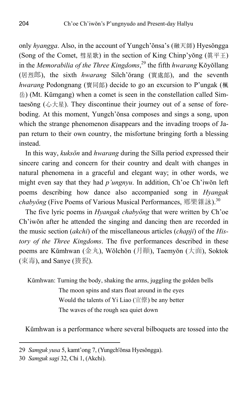only *hyangga*. Also, in the account of Yungch'ŏnsa's (融天師) Hyesŏngga (Song of the Comet, 彗星歌) in the section of King Chinp'yŏng (眞平王) in the *Memorabilia of the Three Kingdoms*, 29 the fifth *hwarang* Kŏyŏllang (居烈郎), the sixth *hwarang* Silch'ŏrang (實處郞), and the seventh *hwarang* Podongnang (寶同郞) decide to go an excursion to P'ungak (楓 岳) (Mt. Kŭmgang) when a comet is seen in the constellation called Simtaesŏng  $(\triangle \star \underline{\mathbb{R}})$ . They discontinue their journey out of a sense of foreboding. At this moment, Yungch'ŏnsa composes and sings a song, upon which the strange phenomenon disappears and the invading troops of Japan return to their own country, the misfortune bringing forth a blessing instead.

In this way, *kuksŏn* and *hwarang* during the Silla period expressed their sincere caring and concern for their country and dealt with changes in natural phenomena in a graceful and elegant way; in other words, we might even say that they had *p'ungnyu*. In addition, Ch'oe Ch'iwŏn left poems describing how dance also accompanied song in *Hyangak chabyŏng* (Five Poems of Various Musical Performances, 鄕樂雜詠).30

The five lyric poems in *Hyangak chabyŏng* that were written by Ch'oe Ch'iwŏn after he attended the singing and dancing then are recorded in the music section (*akchi*) of the miscellaneous articles (*chapji*) of the *History of the Three Kingdoms*. The five performances described in these poems are Kŭmhwan (金丸), Wŏlchŏn (月顚), Taemyŏn (大面), Soktok (束毒), and Sanye (狻猊).

Kŭmhwan: Turning the body, shaking the arms, juggling the golden bells The moon spins and stars float around in the eyes Would the talents of Yi Liao (宜僚) be any better The waves of the rough sea quiet down

Kŭmhwan is a performance where several bilboquets are tossed into the

<sup>29</sup> *Samguk yusa* 5, kamt'ong 7, (Yungch'ŏnsa Hyesŏngga).

<sup>30</sup> *Samguk sagi* 32, Chi 1, (Akchi).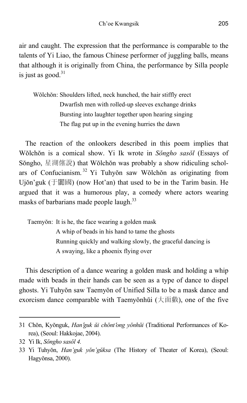air and caught. The expression that the performance is comparable to the talents of Yi Liao, the famous Chinese performer of juggling balls, means that although it is originally from China, the performance by Silla people is just as good. $31$ 

Wŏlchŏn: Shoulders lifted, neck hunched, the hair stiffly erect Dwarfish men with rolled-up sleeves exchange drinks Bursting into laughter together upon hearing singing The flag put up in the evening hurries the dawn

The reaction of the onlookers described in this poem implies that Wŏlchŏn is a comical show. Yi Ik wrote in *Sŏngho sasŏl* (Essays of Sŏngho, 星湖僿說) that Wŏlchŏn was probably a show ridiculing scholars of Confucianism.<sup>32</sup> Yi Tuhyŏn saw Wŏlchŏn as originating from Ujŏn'guk (于闐國) (now Hot'an) that used to be in the Tarim basin. He argued that it was a humorous play, a comedy where actors wearing masks of barbarians made people laugh.<sup>33</sup>

Taemyŏn: It is he, the face wearing a golden mask A whip of beads in his hand to tame the ghosts Running quickly and walking slowly, the graceful dancing is A swaying, like a phoenix flying over

This description of a dance wearing a golden mask and holding a whip made with beads in their hands can be seen as a type of dance to dispel ghosts. Yi Tuhyŏn saw Taemyŏn of Unified Silla to be a mask dance and exorcism dance comparable with Taemyŏnhŭi (大面戯), one of the five

<sup>31</sup> Chŏn, Kyŏnguk, *Han*'*guk ŭi chŏnt*ʻ*ong yŏnhŭi* (Traditional Performances of Korea), (Seoul: Hakkojae, 2004).

<sup>32</sup> Yi Ik, *Sŏngho sasŏl 4.* 

<sup>33</sup> Yi Tuhyŏn, *Han'guk yŏn'gŭksa* (The History of Theater of Korea), (Seoul: Hagyŏnsa, 2000).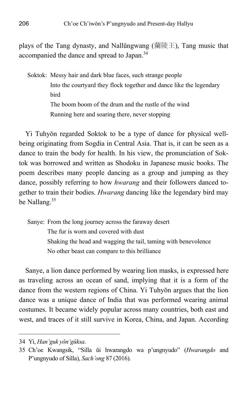plays of the Tang dynasty, and Nallŭngwang (蘭陵王), Tang music that accompanied the dance and spread to Japan.<sup>34</sup>

Soktok: Messy hair and dark blue faces, such strange people Into the courtyard they flock together and dance like the legendary bird The boom boom of the drum and the rustle of the wind Running here and soaring there, never stopping

Yi Tuhyŏn regarded Soktok to be a type of dance for physical wellbeing originating from Sogdia in Central Asia. That is, it can be seen as a dance to train the body for health. In his view, the pronunciation of Soktok was borrowed and written as Shodoku in Japanese music books. The poem describes many people dancing as a group and jumping as they dance, possibly referring to how *hwarang* and their followers danced together to train their bodies. *Hwarang* dancing like the legendary bird may be Nallang.<sup>35</sup>

Sanye: From the long journey across the faraway desert The fur is worn and covered with dust Shaking the head and wagging the tail, taming with benevolence No other beast can compare to this brilliance

Sanye, a lion dance performed by wearing lion masks, is expressed here as traveling across an ocean of sand, implying that it is a form of the dance from the western regions of China. Yi Tuhyŏn argues that the lion dance was a unique dance of India that was performed wearing animal costumes. It became widely popular across many countries, both east and west, and traces of it still survive in Korea, China, and Japan. According

<sup>34</sup> Yi, *Han'guk yŏn'gŭksa*.

<sup>35</sup> Ch'oe Kwangsik, "Silla ŭi hwarangdo wa p'ungnyudo" (*Hwarangdo* and P'ungnyudo of Silla), *Sach'ong* 87 (2016).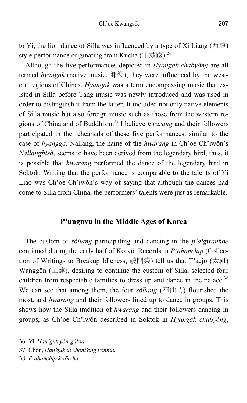to Yi, the lion dance of Silla was influenced by a type of Xi Liang (西凉) style performance originating from Kucha (龜玆國).<sup>36</sup>

Although the five performances depicted in *Hyangak chabyŏng* are all termed *hyangak* (native music, 鄕樂), they were influenced by the western regions of Chinas. *Hyangak* was a term encompassing music that existed in Silla before Tang music was newly introduced and was used in order to distinguish it from the latter. It included not only native elements of Silla music but also foreign music such as those from the western regions of China and of Buddhism.37 I believe *hwarang* and their followers participated in the rehearsals of these five performances, similar to the case of *hyangga*. Nallang, the name of the *hwarang* in Ch'oe Ch'iwŏn's *Nallangbisŏ*, seems to have been derived from the legendary bird; thus, it is possible that *hwarang* performed the dance of the legendary bird in Soktok. Writing that the performance is comparable to the talents of Yi Liao was Ch'oe Ch'iwŏn's way of saying that although the dances had come to Silla from China, the performers' talents were just as remarkable.

## **P'ungnyu in the Middle Ages of Korea**

The custom of *sŏllang* participating and dancing in the *p'algwanhoe* continued during the early half of Koryŏ. Records in *P'ahanchip* (Collection of Writings to Breakup Idleness, 破閑集) tell us that T'aejo (太祖) Wanggŏn (王建), desiring to continue the custom of Silla, selected four children from respectable families to dress up and dance in the palace.<sup>38</sup> We can see that among them, the four *sŏllang* (四仙門) flourished the most, and *hwarang* and their followers lined up to dance in groups. This shows how the Silla tradition of *hwarang* and their followers dancing in groups, as Ch'oe Ch'iwŏn described in Soktok in *Hyangak chabyŏng*,

<sup>36</sup> Yi, *Han'guk yŏn'gŭksa*.

<sup>37</sup> Chŏn, *Han*'*guk ŭi chŏnt*ʻ*ong yŏnhŭi*.

<sup>38</sup> *P'ahanchip kwŏn ha*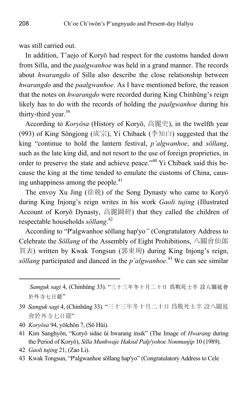was still carried out.

In addition, T'aejo of Koryŏ had respect for the customs handed down from Silla, and the *paalgwanhoe* was held in a grand manner. The records about *hwarangdo* of Silla also describe the close relationship between *hwarangdo* and the *paalgwanhoe*. As I have mentioned before, the reason that the notes on *hwarangdo* were recorded during King Chinhŭng's reign likely has to do with the records of holding the *paalgwanhoe* during his thirty-third year. $39$ 

According to *Koryŏsa* (History of Koryŏ, 高麗史), in the twelfth year (993) of King Sŏngjong (成宗), Yi Chibaek (李知白) suggested that the king "continue to hold the lantern festival, *p'algwanhoe*, and *sŏllang*, such as the late king did, and not resort to the use of foreign proprieties, in order to preserve the state and achieve peace."<sup>40</sup> Yi Chibaek said this because the king at the time tended to emulate the customs of China, causing unhappiness among the people. $41$ 

The envoy Xu Jing (徐兢) of the Song Dynasty who came to Koryŏ during King Injong's reign writes in his work *Gaoli tujing* (Illustrated Account of Koryŏ Dynasty, 高麗圖經) that they called the children of respectable households *sŏllang*. 42

According to "P'algwanhoe sŏllang hap'yo*"* (Congratulatory Address to Celebrate the *Sŏllang* of the Assembly of Eight Prohibitions, 八關會仙郞 賀表) written by Kwak Tongsun (郭東珣) during King Injong's reign, *sõllang* participated and danced in the *p'algwanhoe*.<sup>43</sup> We can see similar

 *Samguk sagi* 4, (Chinhŭng 33). "三十三年冬十月二十日 爲戰死士卒 設八關延會 於外寺七日罷"

- 39 *Samguk sagi* 4, (Chinhŭng 33). "三十三年冬十月二十日 爲戰死士卒 設八關延 會於外寺七日罷"
- 40 *Koryŏsa* 94, yŏlchŏn 7, (Sŏ Hŭi).
- 41 Kim Sanghyŏn, "Koryŏ sidae ŭi hwarang insik" (The Image of *Hwarang* during the Period of Koryŏ), *Silla Munhwaje Haksul Palp'yohoe Nonmunjip* 10 (1989).
- 42 *Gaoli tujing* 21, (Zao Li).

 $\overline{a}$ 

43 Kwak Tongsun, "P'algwanhoe sŏllang hap'yo" (Congratulatory Address to Cele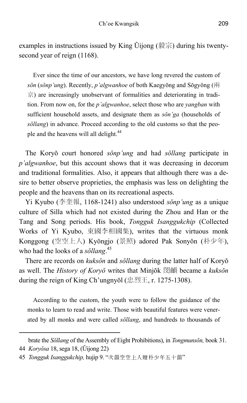examples in instructions issued by King Ŭijong  $(\frac{1}{2} \mathbb{R}^n)$  during his twentysecond year of reign (1168).

Ever since the time of our ancestors, we have long revered the custom of *sŏn* (*sŏnp'ung*). Recently, *p'algwanhoe* of both Kaegyŏng and Sŏgyŏng (兩 京) are increasingly unobservant of formalities and deteriorating in tradition. From now on, for the *p'algwanhoe*, select those who are *yangban* with sufficient household assets, and designate them as *sŏn'ga* (households of *sŏllang*) in advance. Proceed according to the old customs so that the people and the heavens will all delight.<sup>44</sup>

The Koryŏ court honored *sŏnp'ung* and had *sŏllang* participate in *p'algwanhoe*, but this account shows that it was decreasing in decorum and traditional formalities. Also, it appears that although there was a desire to better observe proprieties, the emphasis was less on delighting the people and the heavens than on its recreational aspects.

Yi Kyubo (李奎報, 1168-1241) also understood *sŏnp'ung* as a unique culture of Silla which had not existed during the Zhou and Han or the Tang and Song periods. His book, *Tongguk Isanggukchip* (Collected Works of Yi Kyubo, 東國李相國集), writes that the virtuous monk Konggong (空空上人) Kyŏngjo (景照) adored Pak Sonyŏn (朴少年), who had the looks of a *sŏllang*. 45

There are records on *kuksŏn* and *sŏllang* during the latter half of Koryŏ as well. The *History of Koryŏ* writes that Minjŏk 閔頔 became a *kuksŏn* during the reign of King Ch'ungnyŏl (忠烈王, r. 1275-1308).

According to the custom, the youth were to follow the guidance of the monks to learn to read and write. Those with beautiful features were venerated by all monks and were called *sŏllang*, and hundreds to thousands of

brate the *Sŏllang* of the Assembly of Eight Prohibitions), in *Tongmunsŏn,* book 31. 44 *Koryŏsa* 18, sega 18, (Ŭijong 22)

<sup>45</sup> *Tongguk Isanggukchip,* hujip 9. "次韻空空上人贈朴少年五十韻"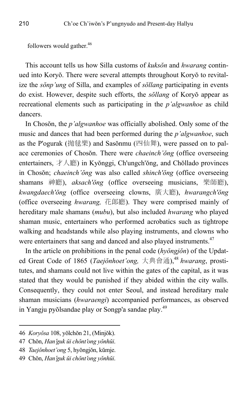followers would gather.<sup>46</sup>

This account tells us how Silla customs of *kuksŏn* and *hwarang* continued into Koryŏ. There were several attempts throughout Koryŏ to revitalize the *sŏnp'ung* of Silla, and examples of *sŏllang* participating in events do exist. However, despite such efforts, the *sŏllang* of Koryŏ appear as recreational elements such as participating in the *p'algwanhoe* as child dancers.

In Chosŏn, the *p'algwanhoe* was officially abolished. Only some of the music and dances that had been performed during the *p'algwanhoe*, such as the P'ogurak (抛毬樂) and Sasŏnmu (四仙舞), were passed on to palace ceremonies of Chosŏn. There were *chaeinch'ŏng* (office overseeing entertainers, 才人廳) in Kyŏnggi, Ch'ungch'ŏng, and Chŏllado provinces in Chosŏn; *chaeinch'ŏng* was also called *shinch'ŏng* (office overseeing shamans 神廳), *aksach'ŏng* (office overseeing musicians, 樂師廳), *kwangdaech'ŏng* (office overseeing clowns, 廣大廳), *hwarangch'ŏng* (office overseeing *hwarang,* 花郞廳). They were comprised mainly of hereditary male shamans (*mubu*), but also included *hwarang* who played shaman music, entertainers who performed acrobatics such as tightrope walking and headstands while also playing instruments, and clowns who were entertainers that sang and danced and also played instruments.<sup>47</sup>

In the article on prohibitions in the penal code (*hyŏngjŏn*) of the Updated Great Code of 1865 (*Taejŏnhoet'ong,* 大典會通),<sup>48</sup> *hwarang*, prostitutes, and shamans could not live within the gates of the capital, as it was stated that they would be punished if they abided within the city walls. Consequently, they could not enter Seoul, and instead hereditary male shaman musicians (*hwaraengi*) accompanied performances, as observed in Yangju pyŏlsandae play or Songp'a sandae play.49

<sup>46</sup> *Koryŏsa* 108, yŏlchŏn 21, (Minjŏk).

<sup>47</sup> Chŏn, *Han*'*guk ŭi chŏnt*ʻ*ong yŏnhŭi*.

<sup>48</sup> *Taejŏnhoet'ong* 5, hyŏngjŏn, kŭmje.

<sup>49</sup> Chŏn, *Han*'*guk ŭi chŏnt*ʻ*ong yŏnhŭi*.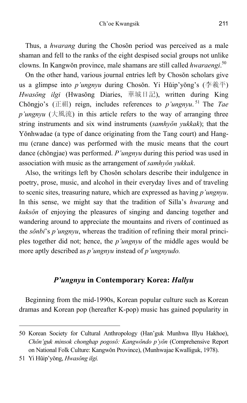Thus, a *hwarang* during the Chosŏn period was perceived as a male shaman and fell to the ranks of the eight despised social groups not unlike clowns. In Kangwŏn province, male shamans are still called *hwaraengi*. 50

On the other hand, various journal entries left by Chosŏn scholars give us a glimpse into *p'ungnyu* during Chosŏn. Yi Hŭip'yŏng's (李羲平) *Hwasŏng ilgi* (Hwasŏng Diaries, 華城日記), written during King Chŏngjo's (正祖) reign, includes references to *p'ungnyu*. 51 The *Tae p'ungnyu* (大風流) in this article refers to the way of arranging three string instruments and six wind instruments (*samhyŏn yukkak*); that the Yŏnhwadae (a type of dance originating from the Tang court) and Hangmu (crane dance) was performed with the music means that the court dance (chŏngjae) was performed. *P'ungnyu* during this period was used in association with music as the arrangement of *samhyŏn yukkak*.

Also, the writings left by Chosŏn scholars describe their indulgence in poetry, prose, music, and alcohol in their everyday lives and of traveling to scenic sites, treasuring nature, which are expressed as having *p'ungnyu*. In this sense, we might say that the tradition of Silla's *hwarang* and *kuksŏn* of enjoying the pleasures of singing and dancing together and wandering around to appreciate the mountains and rivers of continued as the *sŏnbi*'s *p'ungnyu*, whereas the tradition of refining their moral principles together did not; hence, the *p'ungnyu* of the middle ages would be more aptly described as *p'ungnyu* instead of *p'ungnyudo.* 

## *P'ungnyu* **in Contemporary Korea:** *Hallyu*

Beginning from the mid-1990s, Korean popular culture such as Korean dramas and Korean pop (hereafter K-pop) music has gained popularity in

<sup>50</sup> Korean Society for Cultural Anthropology (Han'guk Munhwa Illyu Hakhoe), *Chŏn'guk minsok chonghap pogosŏ: Kangwŏndo p'yŏn* (Comprehensive Report on National Folk Culture: Kangwŏn Province), (Munhwajae Kwalliguk, 1978).

<sup>51</sup> Yi Hŭip'yŏng, *Hwasŏng ilgi.*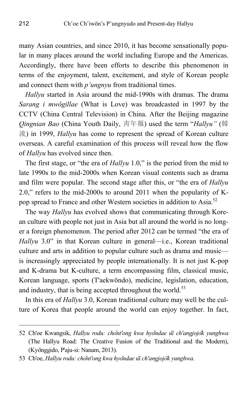many Asian countries, and since 2010, it has become sensationally popular in many places around the world including Europe and the Americas. Accordingly, there have been efforts to describe this phenomenon in terms of the enjoyment, talent, excitement, and style of Korean people and connect them with *p'ungnyu* from traditional times.

*Hallyu* started in Asia around the mid-1990s with dramas. The drama *Sarang i mwŏgillae* (What is Love) was broadcasted in 1997 by the CCTV (China Central Television) in China. After the Beijing magazine *Qingnian Bao* (China Youth Daily, 靑年報) used the term "*Hallyu"* (韓 流) in 1999, *Hallyu* has come to represent the spread of Korean culture overseas. A careful examination of this process will reveal how the flow of *Hallyu* has evolved since then.

The first stage, or "the era of *Hallyu* 1.0," is the period from the mid to late 1990s to the mid-2000s when Korean visual contents such as drama and film were popular. The second stage after this, or "the era of *Hallyu* 2.0," refers to the mid-2000s to around 2011 when the popularity of Kpop spread to France and other Western societies in addition to Asia.<sup>52</sup>

The way *Hallyu* has evolved shows that communicating through Korean culture with people not just in Asia but all around the world is no longer a foreign phenomenon. The period after 2012 can be termed "the era of *Hallyu* 3.0" in that Korean culture in general—i.e., Korean traditional culture and arts in addition to popular culture such as drama and music is increasingly appreciated by people internationally. It is not just K-pop and K-drama but K-culture, a term encompassing film, classical music, Korean language, sports (T'aekwŏndo), medicine, legislation, education, and industry, that is being accepted throughout the world.<sup>53</sup>

In this era of *Hallyu* 3.0, Korean traditional culture may well be the culture of Korea that people around the world can enjoy together. In fact,

<sup>52</sup> Ch'oe Kwangsik, *Hallyu rodu: cho*̆*nt'ong kwa hyo*̆*ndae u*̆*i ch'angjojo*̆*k yunghwa* (The Hallyu Road: The Creative Fusion of the Traditional and the Modern), (Kyŏnggido, P'aju-si: Nanam, 2013).

<sup>53</sup> Ch'oe, *Hallyu rodu: cho*̆*nt'ong kwa hyo*̆*ndae u*̆*i ch'angjojo*̆*k yunghwa*.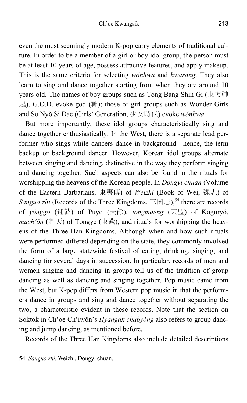even the most seemingly modern K-pop carry elements of traditional culture. In order to be a member of a girl or boy idol group, the person must be at least 10 years of age, possess attractive features, and apply makeup. This is the same criteria for selecting *wŏnhwa* and *hwarang*. They also learn to sing and dance together starting from when they are around 10 years old. The names of boy groups such as Tong Bang Shin Gi (東方神 起), G.O.D. evoke god (神); those of girl groups such as Wonder Girls and So Nyŏ Si Dae (Girls' Generation, 少女時代) evoke *wŏnhwa*.

But more importantly, these idol groups characteristically sing and dance together enthusiastically. In the West, there is a separate lead performer who sings while dancers dance in background—hence, the term backup or background dancer. However, Korean idol groups alternate between singing and dancing, distinctive in the way they perform singing and dancing together. Such aspects can also be found in the rituals for worshipping the heavens of the Korean people. In *Dongyi chuan* (Volume of the Eastern Barbarians, 東夷傳) of *Weizhi* (Book of Wei, 魏志) of *Sanguo zhi* (Records of the Three Kingdoms,  $\equiv$ 國志),<sup>54</sup> there are records of *yŏnggo* (迎鼓) of Puyŏ (夫餘), *tongmaeng* (東盟) of Koguryŏ, *much'ŏn* (舞天) of Tongye (東濊), and rituals for worshipping the heavens of the Three Han Kingdoms. Although when and how such rituals were performed differed depending on the state, they commonly involved the form of a large statewide festival of eating, drinking, singing, and dancing for several days in succession. In particular, records of men and women singing and dancing in groups tell us of the tradition of group dancing as well as dancing and singing together. Pop music came from the West, but K-pop differs from Western pop music in that the performers dance in groups and sing and dance together without separating the two, a characteristic evident in these records. Note that the section on Soktok in Ch'oe Ch'iwŏn's *Hyangak chabyŏng* also refers to group dancing and jump dancing, as mentioned before.

Records of the Three Han Kingdoms also include detailed descriptions

<sup>54</sup> *Sanguo zhi*, Weizhi, Dongyi chuan.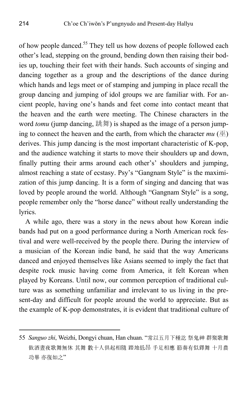of how people danced.<sup>55</sup> They tell us how dozens of people followed each other's lead, stepping on the ground, bending down then raising their bodies up, touching their feet with their hands. Such accounts of singing and dancing together as a group and the descriptions of the dance during which hands and legs meet or of stamping and jumping in place recall the group dancing and jumping of idol groups we are familiar with. For ancient people, having one's hands and feet come into contact meant that the heaven and the earth were meeting. The Chinese characters in the word *tomu* (jump dancing, 跳舞) is shaped as the image of a person jumping to connect the heaven and the earth, from which the character  $mu(\mathcal{H})$ derives. This jump dancing is the most important characteristic of K-pop, and the audience watching it starts to move their shoulders up and down, finally putting their arms around each other's' shoulders and jumping, almost reaching a state of ecstasy. Psy's "Gangnam Style" is the maximization of this jump dancing. It is a form of singing and dancing that was loved by people around the world. Although "Gangnam Style" is a song, people remember only the "horse dance" without really understanding the lyrics.

A while ago, there was a story in the news about how Korean indie bands had put on a good performance during a North American rock festival and were well-received by the people there. During the interview of a musician of the Korean indie band, he said that the way Americans danced and enjoyed themselves like Asians seemed to imply the fact that despite rock music having come from America, it felt Korean when played by Koreans. Until now, our common perception of traditional culture was as something unfamiliar and irrelevant to us living in the present-day and difficult for people around the world to appreciate. But as the example of K-pop demonstrates, it is evident that traditional culture of

<sup>55</sup> *Sanguo zhi*, Weizhi, Dongyi chuan, Han chuan. "常以五月下種訖 祭鬼神 群聚歌舞 飮酒晝夜歌舞無休 其舞 數十人俱起相隨 踏地低昂 手足相應 節奏有似鐸舞 十月農 功畢 亦復如之"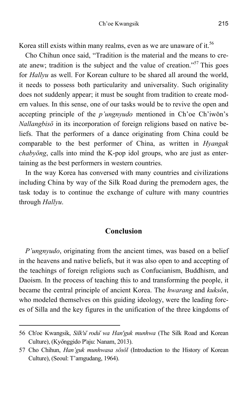Korea still exists within many realms, even as we are unaware of it.<sup>56</sup>

Cho Chihun once said, "Tradition is the material and the means to create anew; tradition is the subject and the value of creation."<sup>57</sup> This goes for *Hallyu* as well. For Korean culture to be shared all around the world, it needs to possess both particularity and universality. Such originality does not suddenly appear; it must be sought from tradition to create modern values. In this sense, one of our tasks would be to revive the open and accepting principle of the *p'ungnyudo* mentioned in Ch'oe Ch'iwŏn's *Nallangbisŏ* in its incorporation of foreign religions based on native beliefs. That the performers of a dance originating from China could be comparable to the best performer of China, as written in *Hyangak chabyŏng*, calls into mind the K-pop idol groups, who are just as entertaining as the best performers in western countries.

In the way Korea has conversed with many countries and civilizations including China by way of the Silk Road during the premodern ages, the task today is to continue the exchange of culture with many countries through *Hallyu*.

## **Conclusion**

*P'ungnyudo*, originating from the ancient times, was based on a belief in the heavens and native beliefs, but it was also open to and accepting of the teachings of foreign religions such as Confucianism, Buddhism, and Daoism. In the process of teaching this to and transforming the people, it became the central principle of ancient Korea. The *hwarang* and *kuksŏn*, who modeled themselves on this guiding ideology, were the leading forces of Silla and the key figures in the unification of the three kingdoms of

<sup>56</sup> Ch'oe Kwangsik, *Silk'u*̆ *rodu*̆ *wa Han'guk munhwa* (The Silk Road and Korean Culture), (Kyŏnggido P'aju: Nanam, 2013).

<sup>57</sup> Cho Chihun, *Han'guk munhwasa sŏsŏl* (Introduction to the History of Korean Culture), (Seoul: T'amgudang, 1964).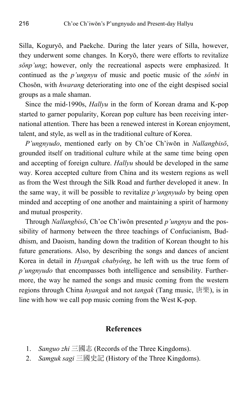Silla, Koguryŏ, and Paekche. During the later years of Silla, however, they underwent some changes. In Koryŏ, there were efforts to revitalize *sŏnp'ung*; however, only the recreational aspects were emphasized. It continued as the *p'ungnyu* of music and poetic music of the *sŏnbi* in Chosŏn, with *hwarang* deteriorating into one of the eight despised social groups as a male shaman.

Since the mid-1990s, *Hallyu* in the form of Korean drama and K-pop started to garner popularity, Korean pop culture has been receiving international attention. There has been a renewed interest in Korean enjoyment, talent, and style, as well as in the traditional culture of Korea.

*P'ungnyudo*, mentioned early on by Ch'oe Ch'iwŏn in *Nallangbisŏ*, grounded itself on traditional culture while at the same time being open and accepting of foreign culture. *Hallyu* should be developed in the same way. Korea accepted culture from China and its western regions as well as from the West through the Silk Road and further developed it anew. In the same way, it will be possible to revitalize *p'ungnyudo* by being open minded and accepting of one another and maintaining a spirit of harmony and mutual prosperity.

Through *Nallangbisŏ*, Ch'oe Ch'iwŏn presented *p'ungnyu* and the possibility of harmony between the three teachings of Confucianism, Buddhism, and Daoism, handing down the tradition of Korean thought to his future generations. Also, by describing the songs and dances of ancient Korea in detail in *Hyangak chabyŏng*, he left with us the true form of *p'ungnyudo* that encompasses both intelligence and sensibility. Furthermore, the way he named the songs and music coming from the western regions through China *hyangak* and not *tangak* (Tang music, 唐樂), is in line with how we call pop music coming from the West K-pop.

### **References**

- 1. *Sanguo zhi* 三國志 (Records of the Three Kingdoms).
- 2. *Samguk sagi* 三國史記 (History of the Three Kingdoms).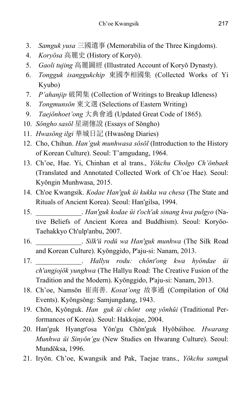- 3. *Samguk yusa* 三國遺事 (Memorabilia of the Three Kingdoms).
- 4. *Koryŏsa* 高麗史 (History of Koryŏ).
- 5. *Gaoli tujing* 高麗圖經 (Illustrated Account of Koryŏ Dynasty).
- 6. *Tongguk isanggukchip* 東國李相國集 (Collected Works of Yi Kyubo)
- 7. *P'ahanjip* 破閑集 (Collection of Writings to Breakup Idleness)
- 8. *Tongmunsŏn* 東文選 (Selections of Eastern Writing)
- 9. *Taejŏnhoet'ong* 大典會通 (Updated Great Code of 1865).
- 10. *Sŏngho sasŏl* 星湖僿說 (Essays of Sŏngho)
- 11. *Hwasŏng ilgi* 華城日記 (Hwasŏng Diaries)
- 12. Cho, Chihun. *Han'guk munhwasa sŏsŏl* (Introduction to the History of Korean Culture). Seoul: T'amgudang, 1964.
- 13. Ch'oe, Hae. Yi, Chinhan et al trans., *Yŏkchu Cholgo Ch'ŏnbaek*  (Translated and Annotated Collected Work of Ch'oe Hae). Seoul: Kyŏngin Munhwasa, 2015.
- 14. Ch'oe Kwangsik. *Kodae Han'guk ŭi kukka wa chesa* (The State and Rituals of Ancient Korea). Seoul: Han'gilsa, 1994.
- 15. \_\_\_\_\_\_\_\_\_\_\_\_\_. *Han'guk kodae ŭi t'och'ak sinang kwa pulgyo* (Native Beliefs of Ancient Korea and Buddhism). Seoul: Koryŏo-Taehakkyo Ch'ulp'anbu, 2007.
- 16. \_\_\_\_\_\_\_\_\_\_\_\_\_. *Silk'ŭ rodŭ wa Han'guk munhwa* (The Silk Road and Korean Culture). Kyŏnggido, P'aju-si: Nanam, 2013.
- 17. \_\_\_\_\_\_\_\_\_\_\_\_\_. *Hallyu rodu: chŏnt'ong kwa hyŏndae ŭi ch'angjojŏk yunghwa* (The Hallyu Road: The Creative Fusion of the Tradition and the Modern). Kyŏnggido, P'aju-si: Nanam, 2013.
- 18. Ch'oe, Namsŏn 崔南善. *Kosat'ong* 故事通 (Compilation of Old Events). Kyŏngsŏng: Samjungdang, 1943.
- 19. Chŏn, Kyŏnguk. *Han guk ŭi chŏnt ong y ŏnhŭi* (Traditional Performances of Korea). Seoul: Hakkojae, 2004.
- 20. Han'guk Hyangt'osa Yŏn'gu Chŏn'guk Hyŏb*ŭ*ihoe. *Hwarang Munhwa ŭi Sinyŏn'gu* (New Studies on Hwarang Culture). Seoul: Mundŏksa, 1996.
- 21. Iryŏn. Ch'oe, Kwangsik and Pak, Taejae trans., *Yŏkchu samguk*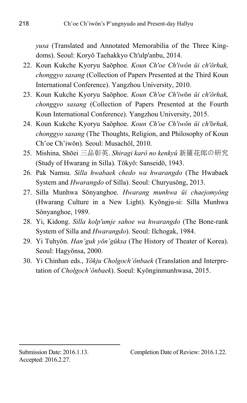*yusa* (Translated and Annotated Memorabilia of the Three Kingdoms). Seoul: Koryŏ Taehakkyo Ch'ulp'anbu, 2014.

- 22. Koun Kukche Kyoryu Saŏphoe. *Koun Ch'oe Ch'iwŏn ŭi ch'ŏrhak, chonggyo sasang* (Collection of Papers Presented at the Third Koun International Conference). Yangzhou University, 2010.
- 23. Koun Kukche Kyoryu Saŏphoe. *Koun Ch'oe Ch'iw*ŏ*n ŭi ch'ŏrhak, chonggyo sasang* (Collection of Papers Presented at the Fourth Koun International Conference). Yangzhou University, 2015.
- 24. Koun Kukche Kyoryu Saŏphoe. *Koun Ch'oe Ch'iwŏn ŭi ch'*ŏ*rhak, chonggyo sasang* (The Thoughts, Religion, and Philosophy of Koun Ch'oe Ch'iwŏn). Seoul: Musachŏl, 2010.
- 25. Mishina, Shōei 三品彰英. *Shiragi karô no kenkyû* 新羅花郞の硏究 (Study of Hwarang in Silla). Tōkyō: Sanseidō, 1943.
- 26. Pak Namsu. *Silla hwabaek chedo wa hwarangdo* (The Hwabaek System and *Hwarangdo* of Silla). Seoul: Churyusŏng, 2013.
- 27. Silla Munhwa Sŏnyanghoe. *Hwarang munhwa ŭi chaejomyŏng* (Hwarang Culture in a New Light). Kyŏngju-si: Silla Munhwa Sŏnyanghoe, 1989.
- 28. Yi, Kidong. *Silla kolp'umje sahoe wa hwarangdo* (The Bone-rank System of Silla and *Hwarangdo*). Seoul: Ilchogak, 1984.
- 29. Yi Tuhyŏn. *Han'guk yŏn'gŭksa* (The History of Theater of Korea). Seoul: Hagyŏnsa, 2000.
- 30. Yi Chinhan eds., *Yŏkju Cholgoch'ŏnbaek* (Translation and Interpretation of *Cholgoch'ŏnbaek*). Soeul: Kyŏnginmunhwasa, 2015.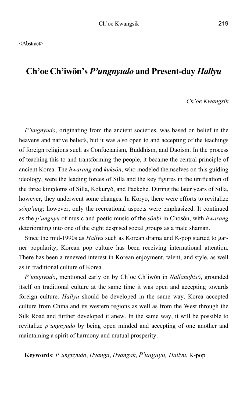# **Ch'oe Ch'iwŏn's** *P'ungnyudo* **and Present-day** *Hallyu*

### *Ch'oe Kwangsik*

*P'ungnyudo*, originating from the ancient societies, was based on belief in the heavens and native beliefs, but it was also open to and accepting of the teachings of foreign religions such as Confucianism, Buddhism, and Daoism. In the process of teaching this to and transforming the people, it became the central principle of ancient Korea. The *hwarang* and *kuksŏn*, who modeled themselves on this guiding ideology, were the leading forces of Silla and the key figures in the unification of the three kingdoms of Silla, Kokuryŏ, and Paekche. During the later years of Silla, however, they underwent some changes. In Koryŏ, there were efforts to revitalize *sŏnp'ung*; however, only the recreational aspects were emphasized. It continued as the *p'ungnyu* of music and poetic music of the *sŏnbi* in Chosŏn, with *hwarang* deteriorating into one of the eight despised social groups as a male shaman.

Since the mid-1990s as *Hallyu* such as Korean drama and K-pop started to garner popularity, Korean pop culture has been receiving international attention. There has been a renewed interest in Korean enjoyment, talent, and style, as well as in traditional culture of Korea.

*P'ungnyudo*, mentioned early on by Ch'oe Ch'iwŏn in *Nallangbisŏ*, grounded itself on traditional culture at the same time it was open and accepting towards foreign culture. *Hallyu* should be developed in the same way. Korea accepted culture from China and its western regions as well as from the West through the Silk Road and further developed it anew. In the same way, it will be possible to revitalize *p'ungnyudo* by being open minded and accepting of one another and maintaining a spirit of harmony and mutual prosperity.

**Keywords**: *P'ungnyudo*, *Hyanga*, *Hyangak*, *P'ungnyu, Hallyu*, K-pop